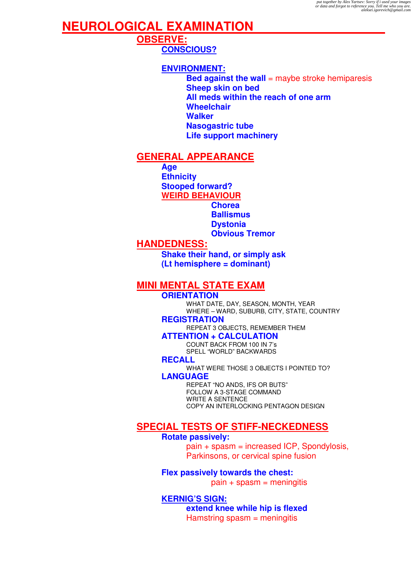## **NEUROLOGICAL EXAMINATION**

**OBSERVE: CONSCIOUS?**

### **ENVIRONMENT:**

**Bed against the wall** = maybe stroke hemiparesis **Sheep skin on bed All meds within the reach of one arm Wheelchair Walker Nasogastric tube Life support machinery** 

## **GENERAL APPEARANCE**

**Age Ethnicity Stooped forward? WEIRD BEHAVIOUR**

**Chorea Ballismus Dystonia Obvious Tremor**

## **HANDEDNESS:**

**Shake their hand, or simply ask (Lt hemisphere = dominant)** 

## **MINI MENTAL STATE EXAM**

**ORIENTATION**  WHAT DATE, DAY, SEASON, MONTH, YEAR WHERE – WARD, SUBURB, CITY, STATE, COUNTRY **REGISTRATION** 

REPEAT 3 OBJECTS, REMEMBER THEM

**ATTENTION + CALCULATION** 

COUNT BACK FROM 100 IN 7's SPELL "WORLD" BACKWARDS

**RECALL** 

WHAT WERE THOSE 3 OBJECTS I POINTED TO? **LANGUAGE**

REPEAT "NO ANDS, IFS OR BUTS" FOLLOW A 3-STAGE COMMAND WRITE A SENTENCE COPY AN INTERLOCKING PENTAGON DESIGN

## **SPECIAL TESTS OF STIFF-NECKEDNESS**

### **Rotate passively:**

pain + spasm = increased ICP, Spondylosis, Parkinsons, or cervical spine fusion

**Flex passively towards the chest:** 

 $pain + spasm = meninaitis$ 

**KERNIG'S SIGN: extend knee while hip is flexed**  Hamstring spasm = meningitis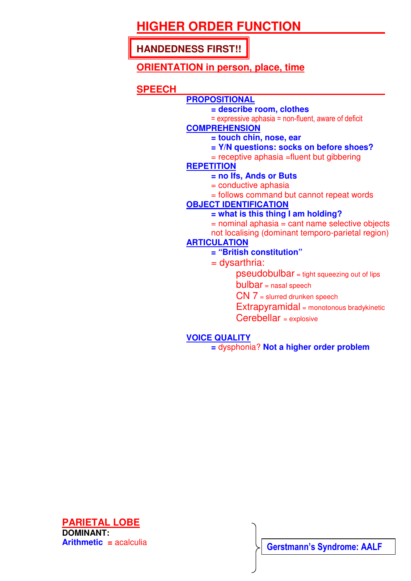# **HIGHER ORDER FUNCTION**

**HANDEDNESS FIRST!!** 

## **ORIENTATION in person, place, time**

## **SPEECH**

## **PROPOSITIONAL**

- **= describe room, clothes**
- = expressive aphasia = non-fluent, aware of deficit

### **COMPREHENSION**

- **= touch chin, nose, ear**
- **= Y/N questions: socks on before shoes?**
- = receptive aphasia =fluent but gibbering

## **REPETITION**

- **= no Ifs, Ands or Buts**
- = conductive aphasia
- = follows command but cannot repeat words

## **OBJECT IDENTIFICATION**

- **= what is this thing I am holding?**
- $=$  nominal aphasia  $=$  cant name selective objects
- not localising (dominant temporo-parietal region)

## **ARTICULATION**

### **= "British constitution"**

- $=$  dysarthria:
	- pseudobulbar = tight squeezing out of lips
	- bulbar = nasal speech
	- CN 7 = slurred drunken speech
	- Extrapyramidal = monotonous bradykinetic
	- Cerebellar = explosive

## **VOICE QUALITY**

**=** dysphonia? **Not a higher order problem** 



**Gerstmann's Syndrome: AALF**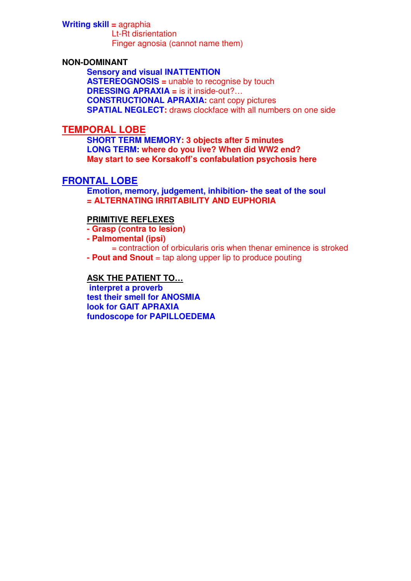#### **Writing skill =** agraphia Lt-Rt disrientation Finger agnosia (cannot name them)

#### **NON-DOMINANT**

**Sensory and visual INATTENTION ASTEREOGNOSIS =** unable to recognise by touch **DRESSING APRAXIA =** is it inside-out?… **CONSTRUCTIONAL APRAXIA:** cant copy pictures **SPATIAL NEGLECT:** draws clockface with all numbers on one side

#### **TEMPORAL LOBE**

**SHORT TERM MEMORY: 3 objects after 5 minutes LONG TERM: where do you live? When did WW2 end? May start to see Korsakoff's confabulation psychosis here** 

### **FRONTAL LOBE**

**Emotion, memory, judgement, inhibition- the seat of the soul = ALTERNATING IRRITABILITY AND EUPHORIA** 

#### **PRIMITIVE REFLEXES**

**- Grasp (contra to lesion)** 

**- Palmomental (ipsi)** 

= contraction of orbicularis oris when thenar eminence is stroked

**- Pout and Snout** = tap along upper lip to produce pouting

#### **ASK THE PATIENT TO…**

 **interpret a proverb test their smell for ANOSMIA look for GAIT APRAXIA fundoscope for PAPILLOEDEMA**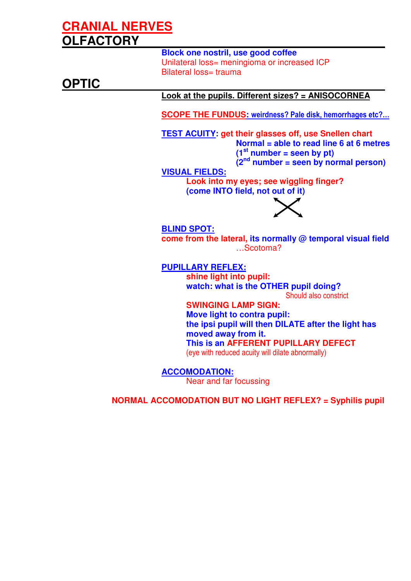# **CRANIAL NERVES OLFACTORY**

**Block one nostril, use good coffee**  Unilateral loss= meningioma or increased ICP Bilateral loss= trauma **OPTIC Look at the pupils. Different sizes? = ANISOCORNEA SCOPE THE FUNDUS:** weirdness? Pale disk, hemorrhages etc?… **TEST ACUITY: get their glasses off, use Snellen chart Normal = able to read line 6 at 6 metres**   $(1<sup>st</sup>$  number = seen by pt) **(2nd number = seen by normal person) VISUAL FIELDS: Look into my eyes; see wiggling finger? (come INTO field, not out of it) BLIND SPOT: come from the lateral, its normally @ temporal visual field**  …Scotoma? **PUPILLARY REFLEX: shine light into pupil: watch: what is the OTHER pupil doing?**  Should also constrict **SWINGING LAMP SIGN: Move light to contra pupil: the ipsi pupil will then DILATE after the light has moved away from it. This is an AFFERENT PUPILLARY DEFECT** 

(eye with reduced acuity will dilate abnormally)

**ACCOMODATION:** Near and far focussing

**NORMAL ACCOMODATION BUT NO LIGHT REFLEX? = Syphilis pupil**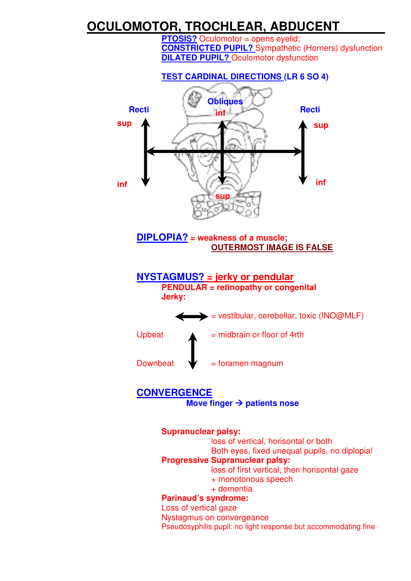# **OCULOMOTOR, TROCHLEAR, ABDUCENT**

**PTOSIS?** Oculomotor = opens eyelid; **CONSTRICTED PUPIL?** Sympathetic (Horners) dysfunction **DILATED PUPIL?** Oculomotor dysfunction



Nystagmus on convergeance Pseudosyphilis pupil: no light response but accommodating fine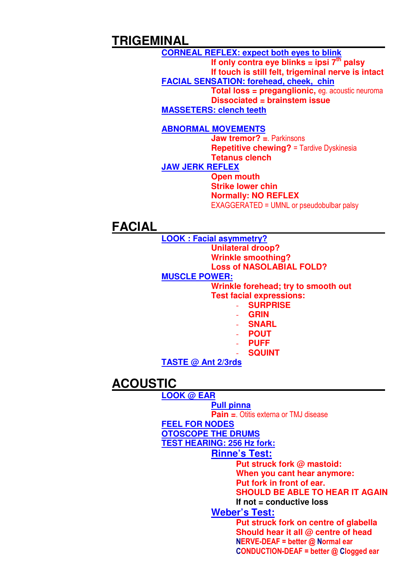# **TRIGEMINAL**

**CORNEAL REFLEX: expect both eyes to blink** If only contra eye blinks = ipsi  $7<sup>th</sup>$  palsy **If touch is still felt, trigeminal nerve is intact FACIAL SENSATION: forehead, cheek, chin Total loss = preganglionic,** eg. acoustic neuroma **Dissociated = brainstem issue MASSETERS: clench teeth**

#### **ABNORMAL MOVEMENTS**

**Jaw tremor? =**. Parkinsons **Repetitive chewing?** = Tardive Dyskinesia **Tetanus clench** 

**JAW JERK REFLEX**

**Open mouth Strike lower chin Normally: NO REFLEX**  EXAGGERATED = UMNL or pseudobulbar palsy

## **FACIAL**

**LOOK : Facial asymmetry? Unilateral droop? Wrinkle smoothing? Loss of NASOLABIAL FOLD? MUSCLE POWER: Wrinkle forehead; try to smooth out** 

**Test facial expressions:** 

- **SURPRISE**
- **GRIN**
- **SNARL**
- **POUT**
- **PUFF**
- **SQUINT**

**TASTE @ Ant 2/3rds**

# **ACOUSTIC**

**LOOK @ EAR Pull pinna Pain =**. Otitis externa or TMJ disease **FEEL FOR NODES OTOSCOPE THE DRUMS**

**TEST HEARING: 256 Hz fork:**

### **Rinne's Test:**

**Put struck fork @ mastoid:** 

**When you cant hear anymore:** 

**Put fork in front of ear.** 

**SHOULD BE ABLE TO HEAR IT AGAIN** 

**If not = conductive loss** 

### **Weber's Test:**

**Put struck fork on centre of glabella Should hear it all @ centre of head**  NERVE-DEAF = better @ Normal ear CONDUCTION-DEAF = better @ Clogged ear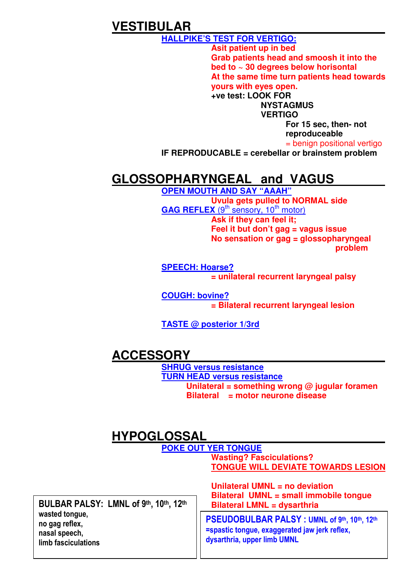# **VESTIBULAR**

**HALLPIKE'S TEST FOR VERTIGO:** 

**Asit patient up in bed Grab patients head and smoosh it into the bed to ~ 30 degrees below horisontal At the same time turn patients head towards yours with eyes open.** 

**+ve test: LOOK FOR NYSTAGMUS** 

**VERTIGO** 

**For 15 sec, then- not reproduceable** 

= benign positional vertigo

 **IF REPRODUCABLE = cerebellar or brainstem problem** 

# **GLOSSOPHARYNGEAL and VAGUS**

**OPEN MOUTH AND SAY "AAAH" Uvula gets pulled to NORMAL side GAG REFLEX** (9<sup>th</sup> sensory, 10<sup>th</sup> motor) **Ask if they can feel it; Feel it but don't gag = vagus issue No sensation or gag = glossopharyngeal problem** 

**SPEECH: Hoarse? = unilateral recurrent laryngeal palsy** 

**COUGH: bovine? = Bilateral recurrent laryngeal lesion**

**TASTE @ posterior 1/3rd**

# **ACCESSORY**

**SHRUG versus resistance TURN HEAD versus resistance Unilateral = something wrong @ jugular foramen Bilateral = motor neurone disease** 

# **HYPOGLOSSAL**

|                                                                                                                   | <b>POKE OUT YER TONGUE</b>                                                                                                  |
|-------------------------------------------------------------------------------------------------------------------|-----------------------------------------------------------------------------------------------------------------------------|
|                                                                                                                   | <b>Wasting? Fasciculations?</b>                                                                                             |
|                                                                                                                   | <b>TONGUE WILL DEVIATE TOWARDS LESION</b>                                                                                   |
| BULBAR PALSY: LMNL of 9th, 10th, 12th<br>wasted tongue,<br>no gag reflex,<br>nasal speech,<br>limb fasciculations | Unilateral UMNL = no deviation<br>Bilateral UMNL = small immobile tongue<br><b>Bilateral LMNL = dysarthria</b>              |
|                                                                                                                   | PSEUDOBULBAR PALSY: UMNL of 9th, 10th, 12th<br>=spastic tongue, exaggerated jaw jerk reflex,<br>dysarthria, upper limb UMNL |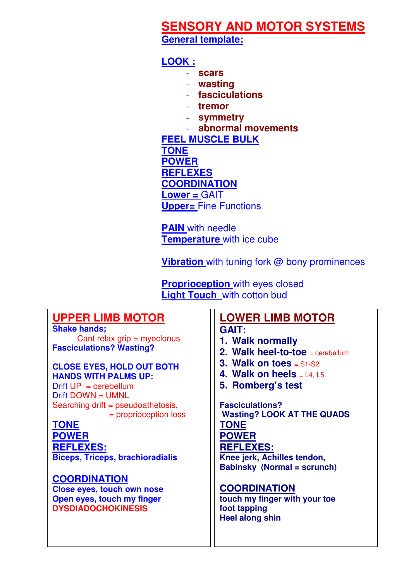# **SENSORY AND MOTOR SYSTEMS**

**General template:**

## **LOOK :**

- **scars**
- **wasting**
- **fasciculations**
- **tremor**
- **symmetry**
- **abnormal movements**

**FEEL MUSCLE BULK TONE POWER REFLEXES COORDINATION Lower =** GAIT **Upper=** Fine Functions

**PAIN** with needle **Temperature** with ice cube

**Vibration** with tuning fork @ bony prominences

**Proprioception** with eyes closed **Light Touch** with cotton bud

# **UPPER LIMB MOTOR**

**Shake hands;**  Cant relax grip = myoclonus **Fasciculations? Wasting?** 

### **CLOSE EYES, HOLD OUT BOTH HANDS WITH PALMS UP:**

 $Drift UP = cerebellum$ Drift DOWN = UMNL Searching drift = pseudoathetosis, = proprioception loss

**TONE POWER REFLEXES: Biceps, Triceps, brachioradialis** 

## **COORDINATION**

**Close eyes, touch own nose Open eyes, touch my finger DYSDIADOCHOKINESIS**

# **LOWER LIMB MOTOR**

### **GAIT:**

- **1. Walk normally**
- **2. Walk heel-to-toe** = cerebellum
- **3. Walk on toes** = S1-S2
- **4. Walk on heels** = L4, L5
- **5. Romberg's test**

**Fasciculations? Wasting? LOOK AT THE QUADS TONE POWER REFLEXES: Knee jerk, Achilles tendon, Babinsky (Normal = scrunch)** 

## **COORDINATION**

**touch my finger with your toe foot tapping Heel along shin**